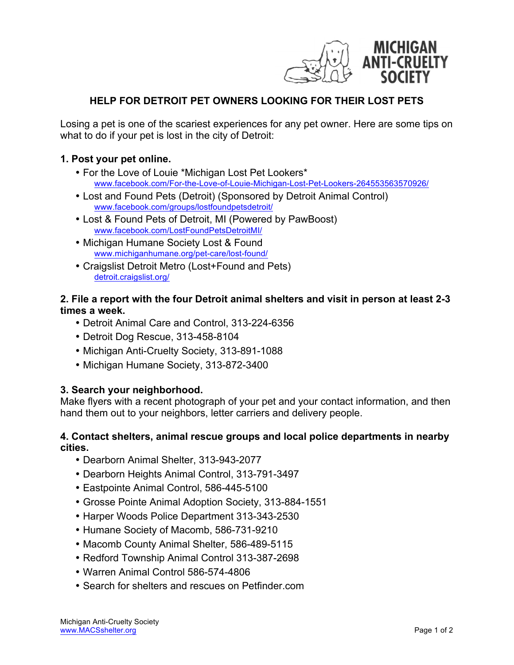

# **HELP FOR DETROIT PET OWNERS LOOKING FOR THEIR LOST PETS**

Losing a pet is one of the scariest experiences for any pet owner. Here are some tips on what to do if your pet is lost in the city of Detroit:

### **1. Post your pet online.**

- For the Love of Louie \*Michigan Lost Pet Lookers\* www.facebook.com/For-the-Love-of-Louie-Michigan-Lost-Pet-Lookers-264553563570926/
- Lost and Found Pets (Detroit) (Sponsored by Detroit Animal Control) www.facebook.com/groups/lostfoundpetsdetroit/
- Lost & Found Pets of Detroit, MI (Powered by PawBoost) www.facebook.com/LostFoundPetsDetroitMI/
- Michigan Humane Society Lost & Found www.michiganhumane.org/pet-care/lost-found/
- Craigslist Detroit Metro (Lost+Found and Pets) detroit.craigslist.org/

### **2. File a report with the four Detroit animal shelters and visit in person at least 2-3 times a week.**

- Detroit Animal Care and Control, 313-224-6356
- Detroit Dog Rescue, 313-458-8104
- Michigan Anti-Cruelty Society, 313-891-1088
- Michigan Humane Society, 313-872-3400

### **3. Search your neighborhood.**

Make flyers with a recent photograph of your pet and your contact information, and then hand them out to your neighbors, letter carriers and delivery people.

### **4. Contact shelters, animal rescue groups and local police departments in nearby cities.**

- Dearborn Animal Shelter, 313-943-2077
- Dearborn Heights Animal Control, 313-791-3497
- Eastpointe Animal Control, 586-445-5100
- Grosse Pointe Animal Adoption Society, 313-884-1551
- Harper Woods Police Department 313-343-2530
- Humane Society of Macomb, 586-731-9210
- Macomb County Animal Shelter, 586-489-5115
- Redford Township Animal Control 313-387-2698
- Warren Animal Control 586-574-4806
- Search for shelters and rescues on Petfinder.com